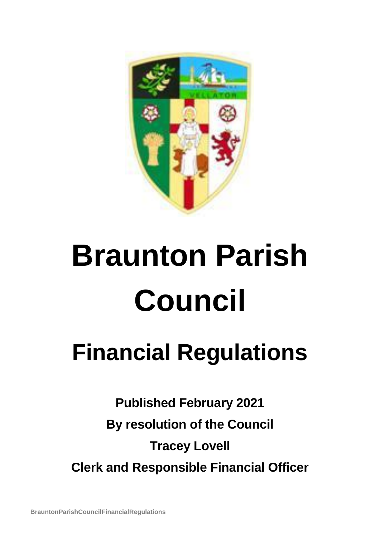

# **Braunton Parish Council**

# **Financial Regulations**

**Published February 2021 By resolution of the Council Tracey Lovell Clerk and Responsible Financial Officer**

**BrauntonParishCouncilFinancialRegulations**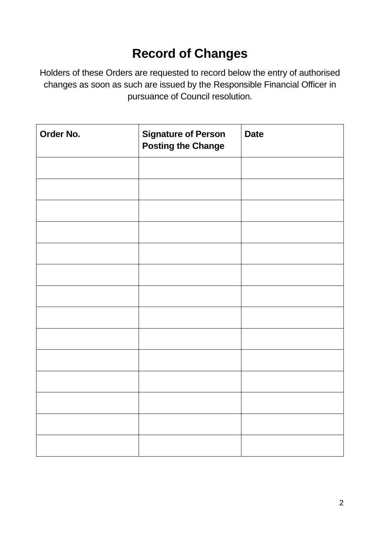# **Record of Changes**

Holders of these Orders are requested to record below the entry of authorised changes as soon as such are issued by the Responsible Financial Officer in pursuance of Council resolution.

| Order No. | <b>Signature of Person</b><br><b>Posting the Change</b> | <b>Date</b> |
|-----------|---------------------------------------------------------|-------------|
|           |                                                         |             |
|           |                                                         |             |
|           |                                                         |             |
|           |                                                         |             |
|           |                                                         |             |
|           |                                                         |             |
|           |                                                         |             |
|           |                                                         |             |
|           |                                                         |             |
|           |                                                         |             |
|           |                                                         |             |
|           |                                                         |             |
|           |                                                         |             |
|           |                                                         |             |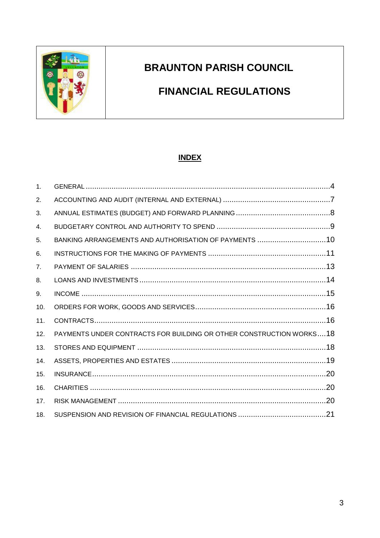

## **BRAUNTON PARISH COUNCIL**

### **FINANCIAL REGULATIONS**

#### **INDEX**

| $\mathbf{1}$ . |                                                                      |  |
|----------------|----------------------------------------------------------------------|--|
| 2.             |                                                                      |  |
| 3.             |                                                                      |  |
| 4.             |                                                                      |  |
| 5.             | BANKING ARRANGEMENTS AND AUTHORISATION OF PAYMENTS 10                |  |
| 6.             |                                                                      |  |
| 7.             |                                                                      |  |
| 8.             |                                                                      |  |
| 9.             |                                                                      |  |
| 10.            |                                                                      |  |
| 11.            |                                                                      |  |
| 12.            | PAYMENTS UNDER CONTRACTS FOR BUILDING OR OTHER CONSTRUCTION WORKS 18 |  |
| 13.            |                                                                      |  |
| 14.            |                                                                      |  |
| 15.            |                                                                      |  |
| 16.            |                                                                      |  |
| 17.            |                                                                      |  |
| 18.            |                                                                      |  |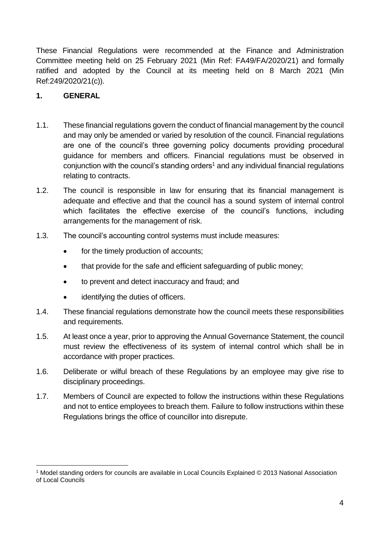These Financial Regulations were recommended at the Finance and Administration Committee meeting held on 25 February 2021 (Min Ref: FA49/FA/2020/21) and formally ratified and adopted by the Council at its meeting held on 8 March 2021 (Min Ref:249/2020/21(c)).

#### <span id="page-3-0"></span>**1. GENERAL**

1

- 1.1. These financial regulations govern the conduct of financial management by the council and may only be amended or varied by resolution of the council. Financial regulations are one of the council's three governing policy documents providing procedural guidance for members and officers. Financial regulations must be observed in conjunction with the council's standing orders<sup>1</sup> and any individual financial regulations relating to contracts.
- 1.2. The council is responsible in law for ensuring that its financial management is adequate and effective and that the council has a sound system of internal control which facilitates the effective exercise of the council's functions, including arrangements for the management of risk.
- 1.3. The council's accounting control systems must include measures:
	- for the timely production of accounts;
	- that provide for the safe and efficient safeguarding of public money;
	- to prevent and detect inaccuracy and fraud; and
	- identifying the duties of officers.
- 1.4. These financial regulations demonstrate how the council meets these responsibilities and requirements.
- 1.5. At least once a year, prior to approving the Annual Governance Statement, the council must review the effectiveness of its system of internal control which shall be in accordance with proper practices.
- 1.6. Deliberate or wilful breach of these Regulations by an employee may give rise to disciplinary proceedings.
- 1.7. Members of Council are expected to follow the instructions within these Regulations and not to entice employees to breach them. Failure to follow instructions within these Regulations brings the office of councillor into disrepute.

<sup>1</sup> Model standing orders for councils are available in Local Councils Explained © 2013 National Association of Local Councils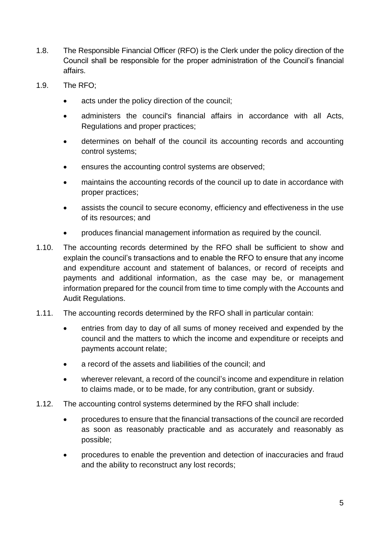- 1.8. The Responsible Financial Officer (RFO) is the Clerk under the policy direction of the Council shall be responsible for the proper administration of the Council's financial affairs.
- 1.9. The RFO;
	- acts under the policy direction of the council;
	- administers the council's financial affairs in accordance with all Acts, Regulations and proper practices;
	- determines on behalf of the council its accounting records and accounting control systems;
	- ensures the accounting control systems are observed;
	- maintains the accounting records of the council up to date in accordance with proper practices;
	- assists the council to secure economy, efficiency and effectiveness in the use of its resources; and
	- produces financial management information as required by the council.
- 1.10. The accounting records determined by the RFO shall be sufficient to show and explain the council's transactions and to enable the RFO to ensure that any income and expenditure account and statement of balances, or record of receipts and payments and additional information, as the case may be, or management information prepared for the council from time to time comply with the Accounts and Audit Regulations.
- 1.11. The accounting records determined by the RFO shall in particular contain:
	- entries from day to day of all sums of money received and expended by the council and the matters to which the income and expenditure or receipts and payments account relate;
	- a record of the assets and liabilities of the council; and
	- wherever relevant, a record of the council's income and expenditure in relation to claims made, or to be made, for any contribution, grant or subsidy.
- 1.12. The accounting control systems determined by the RFO shall include:
	- procedures to ensure that the financial transactions of the council are recorded as soon as reasonably practicable and as accurately and reasonably as possible;
	- procedures to enable the prevention and detection of inaccuracies and fraud and the ability to reconstruct any lost records;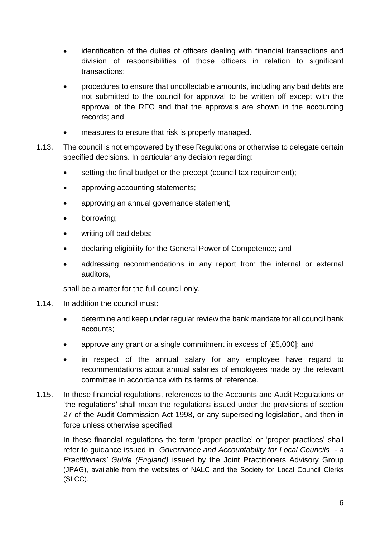- identification of the duties of officers dealing with financial transactions and division of responsibilities of those officers in relation to significant transactions;
- procedures to ensure that uncollectable amounts, including any bad debts are not submitted to the council for approval to be written off except with the approval of the RFO and that the approvals are shown in the accounting records; and
- measures to ensure that risk is properly managed.
- 1.13. The council is not empowered by these Regulations or otherwise to delegate certain specified decisions. In particular any decision regarding:
	- setting the final budget or the precept (council tax requirement):
	- approving accounting statements;
	- approving an annual governance statement;
	- borrowing;
	- writing off bad debts;
	- declaring eligibility for the General Power of Competence; and
	- addressing recommendations in any report from the internal or external auditors,

shall be a matter for the full council only.

- 1.14. In addition the council must:
	- determine and keep under regular review the bank mandate for all council bank accounts;
	- approve any grant or a single commitment in excess of [£5,000]; and
	- in respect of the annual salary for any employee have regard to recommendations about annual salaries of employees made by the relevant committee in accordance with its terms of reference.
- 1.15. In these financial regulations, references to the Accounts and Audit Regulations or 'the regulations' shall mean the regulations issued under the provisions of section 27 of the Audit Commission Act 1998, or any superseding legislation, and then in force unless otherwise specified.

<span id="page-5-0"></span>In these financial regulations the term 'proper practice' or 'proper practices' shall refer to guidance issued in *Governance and Accountability for Local Councils - a Practitioners' Guide (England)* issued by the Joint Practitioners Advisory Group (JPAG), available from the websites of NALC and the Society for Local Council Clerks (SLCC).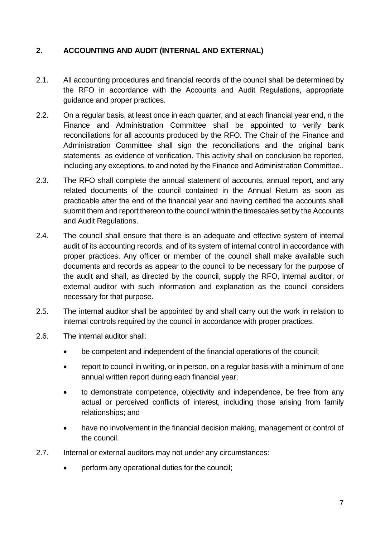#### **2. ACCOUNTING AND AUDIT (INTERNAL AND EXTERNAL)**

- 2.1. All accounting procedures and financial records of the council shall be determined by the RFO in accordance with the Accounts and Audit Regulations, appropriate guidance and proper practices.
- 2.2. On a regular basis, at least once in each quarter, and at each financial year end, n the Finance and Administration Committee shall be appointed to verify bank reconciliations for all accounts produced by the RFO. The Chair of the Finance and Administration Committee shall sign the reconciliations and the original bank statements as evidence of verification. This activity shall on conclusion be reported, including any exceptions, to and noted by the Finance and Administration Committee..
- 2.3. The RFO shall complete the annual statement of accounts, annual report, and any related documents of the council contained in the Annual Return as soon as practicable after the end of the financial year and having certified the accounts shall submit them and report thereon to the council within the timescales set by the Accounts and Audit Regulations.
- 2.4. The council shall ensure that there is an adequate and effective system of internal audit of its accounting records, and of its system of internal control in accordance with proper practices. Any officer or member of the council shall make available such documents and records as appear to the council to be necessary for the purpose of the audit and shall, as directed by the council, supply the RFO, internal auditor, or external auditor with such information and explanation as the council considers necessary for that purpose.
- 2.5. The internal auditor shall be appointed by and shall carry out the work in relation to internal controls required by the council in accordance with proper practices.
- 2.6. The internal auditor shall:
	- be competent and independent of the financial operations of the council;
	- report to council in writing, or in person, on a regular basis with a minimum of one annual written report during each financial year;
	- to demonstrate competence, objectivity and independence, be free from any actual or perceived conflicts of interest, including those arising from family relationships; and
	- have no involvement in the financial decision making, management or control of the council.
- 2.7. Internal or external auditors may not under any circumstances:
	- perform any operational duties for the council;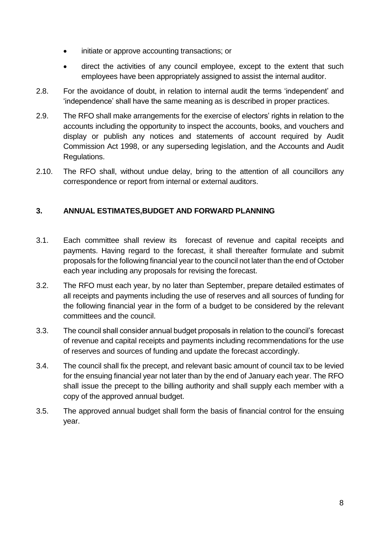- initiate or approve accounting transactions; or
- direct the activities of any council employee, except to the extent that such employees have been appropriately assigned to assist the internal auditor.
- 2.8. For the avoidance of doubt, in relation to internal audit the terms 'independent' and 'independence' shall have the same meaning as is described in proper practices.
- 2.9. The RFO shall make arrangements for the exercise of electors' rights in relation to the accounts including the opportunity to inspect the accounts, books, and vouchers and display or publish any notices and statements of account required by Audit Commission Act 1998, or any superseding legislation, and the Accounts and Audit Regulations.
- 2.10. The RFO shall, without undue delay, bring to the attention of all councillors any correspondence or report from internal or external auditors.

#### <span id="page-7-0"></span>**3. ANNUAL ESTIMATES,BUDGET AND FORWARD PLANNING**

- 3.1. Each committee shall review its forecast of revenue and capital receipts and payments. Having regard to the forecast, it shall thereafter formulate and submit proposals for the following financial year to the council not later than the end of October each year including any proposals for revising the forecast.
- 3.2. The RFO must each year, by no later than September, prepare detailed estimates of all receipts and payments including the use of reserves and all sources of funding for the following financial year in the form of a budget to be considered by the relevant committees and the council.
- 3.3. The council shall consider annual budget proposals in relation to the council's forecast of revenue and capital receipts and payments including recommendations for the use of reserves and sources of funding and update the forecast accordingly.
- 3.4. The council shall fix the precept, and relevant basic amount of council tax to be levied for the ensuing financial year not later than by the end of January each year. The RFO shall issue the precept to the billing authority and shall supply each member with a copy of the approved annual budget.
- <span id="page-7-1"></span>3.5. The approved annual budget shall form the basis of financial control for the ensuing year.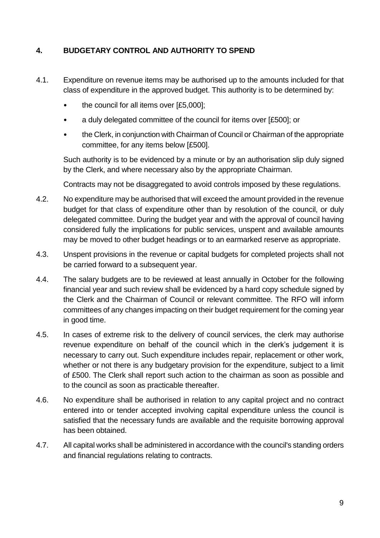#### **4. BUDGETARY CONTROL AND AUTHORITY TO SPEND**

- 4.1. Expenditure on revenue items may be authorised up to the amounts included for that class of expenditure in the approved budget. This authority is to be determined by:
	- the council for all items over [£5,000];
	- a duly delegated committee of the council for items over [£500]; or
	- the Clerk, in conjunction with Chairman of Council or Chairman of the appropriate committee, for any items below [£500].

Such authority is to be evidenced by a minute or by an authorisation slip duly signed by the Clerk, and where necessary also by the appropriate Chairman.

Contracts may not be disaggregated to avoid controls imposed by these regulations.

- 4.2. No expenditure may be authorised that will exceed the amount provided in the revenue budget for that class of expenditure other than by resolution of the council, or duly delegated committee. During the budget year and with the approval of council having considered fully the implications for public services, unspent and available amounts may be moved to other budget headings or to an earmarked reserve as appropriate.
- 4.3. Unspent provisions in the revenue or capital budgets for completed projects shall not be carried forward to a subsequent year.
- 4.4. The salary budgets are to be reviewed at least annually in October for the following financial year and such review shall be evidenced by a hard copy schedule signed by the Clerk and the Chairman of Council or relevant committee. The RFO will inform committees of any changes impacting on their budget requirement for the coming year in good time.
- 4.5. In cases of extreme risk to the delivery of council services, the clerk may authorise revenue expenditure on behalf of the council which in the clerk's judgement it is necessary to carry out. Such expenditure includes repair, replacement or other work, whether or not there is any budgetary provision for the expenditure, subject to a limit of £500. The Clerk shall report such action to the chairman as soon as possible and to the council as soon as practicable thereafter.
- 4.6. No expenditure shall be authorised in relation to any capital project and no contract entered into or tender accepted involving capital expenditure unless the council is satisfied that the necessary funds are available and the requisite borrowing approval has been obtained.
- 4.7. All capital works shall be administered in accordance with the council's standing orders and financial regulations relating to contracts.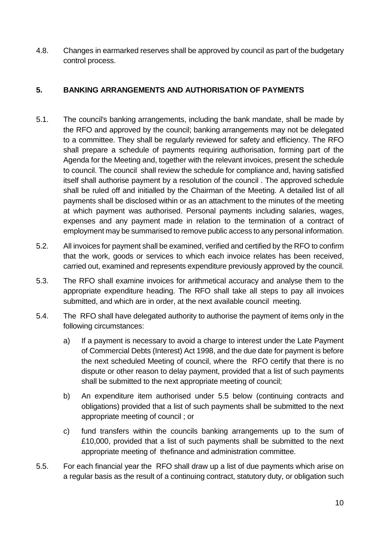4.8. Changes in earmarked reserves shall be approved by council as part of the budgetary control process.

#### <span id="page-9-0"></span>**5. BANKING ARRANGEMENTS AND AUTHORISATION OF PAYMENTS**

- 5.1. The council's banking arrangements, including the bank mandate, shall be made by the RFO and approved by the council; banking arrangements may not be delegated to a committee. They shall be regularly reviewed for safety and efficiency. The RFO shall prepare a schedule of payments requiring authorisation, forming part of the Agenda for the Meeting and, together with the relevant invoices, present the schedule to council. The council shall review the schedule for compliance and, having satisfied itself shall authorise payment by a resolution of the council . The approved schedule shall be ruled off and initialled by the Chairman of the Meeting. A detailed list of all payments shall be disclosed within or as an attachment to the minutes of the meeting at which payment was authorised. Personal payments including salaries, wages, expenses and any payment made in relation to the termination of a contract of employment may be summarised to remove public access to any personal information.
- 5.2. All invoices for payment shall be examined, verified and certified by the RFO to confirm that the work, goods or services to which each invoice relates has been received, carried out, examined and represents expenditure previously approved by the council.
- 5.3. The RFO shall examine invoices for arithmetical accuracy and analyse them to the appropriate expenditure heading. The RFO shall take all steps to pay all invoices submitted, and which are in order, at the next available council meeting.
- 5.4. The RFO shall have delegated authority to authorise the payment of items only in the following circumstances:
	- a) If a payment is necessary to avoid a charge to interest under the Late Payment of Commercial Debts (Interest) Act 1998, and the due date for payment is before the next scheduled Meeting of council, where the RFO certify that there is no dispute or other reason to delay payment, provided that a list of such payments shall be submitted to the next appropriate meeting of council;
	- b) An expenditure item authorised under 5.5 below (continuing contracts and obligations) provided that a list of such payments shall be submitted to the next appropriate meeting of council ; or
	- c) fund transfers within the councils banking arrangements up to the sum of £10,000, provided that a list of such payments shall be submitted to the next appropriate meeting of thefinance and administration committee.
- 5.5. For each financial year the RFO shall draw up a list of due payments which arise on a regular basis as the result of a continuing contract, statutory duty, or obligation such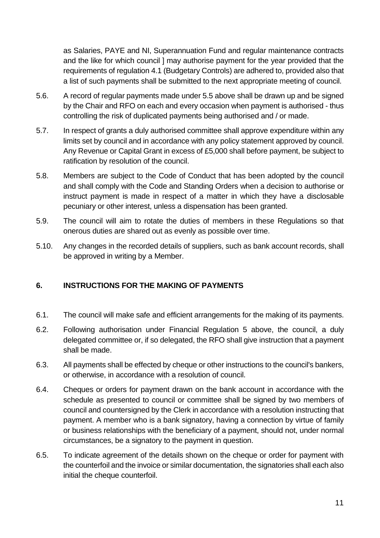as Salaries, PAYE and NI, Superannuation Fund and regular maintenance contracts and the like for which council ] may authorise payment for the year provided that the requirements of regulation 4.1 (Budgetary Controls) are adhered to, provided also that a list of such payments shall be submitted to the next appropriate meeting of council.

- 5.6. A record of regular payments made under 5.5 above shall be drawn up and be signed by the Chair and RFO on each and every occasion when payment is authorised - thus controlling the risk of duplicated payments being authorised and / or made.
- 5.7. In respect of grants a duly authorised committee shall approve expenditure within any limits set by council and in accordance with any policy statement approved by council. Any Revenue or Capital Grant in excess of £5,000 shall before payment, be subject to ratification by resolution of the council.
- 5.8. Members are subject to the Code of Conduct that has been adopted by the council and shall comply with the Code and Standing Orders when a decision to authorise or instruct payment is made in respect of a matter in which they have a disclosable pecuniary or other interest, unless a dispensation has been granted.
- 5.9. The council will aim to rotate the duties of members in these Regulations so that onerous duties are shared out as evenly as possible over time.
- 5.10. Any changes in the recorded details of suppliers, such as bank account records, shall be approved in writing by a Member.

#### <span id="page-10-0"></span>**6. INSTRUCTIONS FOR THE MAKING OF PAYMENTS**

- 6.1. The council will make safe and efficient arrangements for the making of its payments.
- 6.2. Following authorisation under Financial Regulation 5 above, the council, a duly delegated committee or, if so delegated, the RFO shall give instruction that a payment shall be made.
- 6.3. All payments shall be effected by cheque or other instructions to the council's bankers, or otherwise, in accordance with a resolution of council.
- 6.4. Cheques or orders for payment drawn on the bank account in accordance with the schedule as presented to council or committee shall be signed by two members of council and countersigned by the Clerk in accordance with a resolution instructing that payment. A member who is a bank signatory, having a connection by virtue of family or business relationships with the beneficiary of a payment, should not, under normal circumstances, be a signatory to the payment in question.
- 6.5. To indicate agreement of the details shown on the cheque or order for payment with the counterfoil and the invoice or similar documentation, the signatories shall each also initial the cheque counterfoil.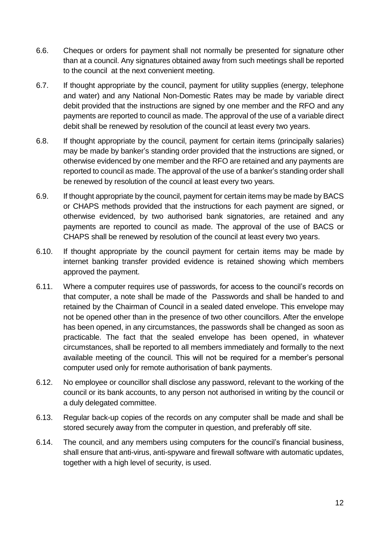- 6.6. Cheques or orders for payment shall not normally be presented for signature other than at a council. Any signatures obtained away from such meetings shall be reported to the council at the next convenient meeting.
- 6.7. If thought appropriate by the council, payment for utility supplies (energy, telephone and water) and any National Non-Domestic Rates may be made by variable direct debit provided that the instructions are signed by one member and the RFO and any payments are reported to council as made. The approval of the use of a variable direct debit shall be renewed by resolution of the council at least every two years.
- 6.8. If thought appropriate by the council, payment for certain items (principally salaries) may be made by banker's standing order provided that the instructions are signed, or otherwise evidenced by one member and the RFO are retained and any payments are reported to council as made. The approval of the use of a banker's standing order shall be renewed by resolution of the council at least every two years.
- 6.9. If thought appropriate by the council, payment for certain items may be made by BACS or CHAPS methods provided that the instructions for each payment are signed, or otherwise evidenced, by two authorised bank signatories, are retained and any payments are reported to council as made. The approval of the use of BACS or CHAPS shall be renewed by resolution of the council at least every two years.
- 6.10. If thought appropriate by the council payment for certain items may be made by internet banking transfer provided evidence is retained showing which members approved the payment.
- 6.11. Where a computer requires use of passwords, for access to the council's records on that computer, a note shall be made of the Passwords and shall be handed to and retained by the Chairman of Council in a sealed dated envelope. This envelope may not be opened other than in the presence of two other councillors. After the envelope has been opened, in any circumstances, the passwords shall be changed as soon as practicable. The fact that the sealed envelope has been opened, in whatever circumstances, shall be reported to all members immediately and formally to the next available meeting of the council. This will not be required for a member's personal computer used only for remote authorisation of bank payments.
- 6.12. No employee or councillor shall disclose any password, relevant to the working of the council or its bank accounts, to any person not authorised in writing by the council or a duly delegated committee.
- 6.13. Regular back-up copies of the records on any computer shall be made and shall be stored securely away from the computer in question, and preferably off site.
- 6.14. The council, and any members using computers for the council's financial business, shall ensure that anti-virus, anti-spyware and firewall software with automatic updates, together with a high level of security, is used.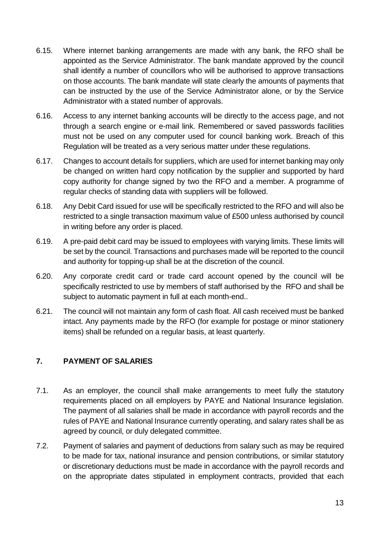- 6.15. Where internet banking arrangements are made with any bank, the RFO shall be appointed as the Service Administrator. The bank mandate approved by the council shall identify a number of councillors who will be authorised to approve transactions on those accounts. The bank mandate will state clearly the amounts of payments that can be instructed by the use of the Service Administrator alone, or by the Service Administrator with a stated number of approvals.
- 6.16. Access to any internet banking accounts will be directly to the access page, and not through a search engine or e-mail link. Remembered or saved passwords facilities must not be used on any computer used for council banking work. Breach of this Regulation will be treated as a very serious matter under these regulations.
- 6.17. Changes to account details for suppliers, which are used for internet banking may only be changed on written hard copy notification by the supplier and supported by hard copy authority for change signed by two the RFO and a member. A programme of regular checks of standing data with suppliers will be followed.
- 6.18. Any Debit Card issued for use will be specifically restricted to the RFO and will also be restricted to a single transaction maximum value of £500 unless authorised by council in writing before any order is placed.
- 6.19. A pre-paid debit card may be issued to employees with varying limits. These limits will be set by the council. Transactions and purchases made will be reported to the council and authority for topping-up shall be at the discretion of the council.
- 6.20. Any corporate credit card or trade card account opened by the council will be specifically restricted to use by members of staff authorised by the RFO and shall be subject to automatic payment in full at each month-end..
- 6.21. The council will not maintain any form of cash float. All cash received must be banked intact. Any payments made by the RFO (for example for postage or minor stationery items) shall be refunded on a regular basis, at least quarterly.

#### <span id="page-12-0"></span>**7. PAYMENT OF SALARIES**

- 7.1. As an employer, the council shall make arrangements to meet fully the statutory requirements placed on all employers by PAYE and National Insurance legislation. The payment of all salaries shall be made in accordance with payroll records and the rules of PAYE and National Insurance currently operating, and salary rates shall be as agreed by council, or duly delegated committee.
- 7.2. Payment of salaries and payment of deductions from salary such as may be required to be made for tax, national insurance and pension contributions, or similar statutory or discretionary deductions must be made in accordance with the payroll records and on the appropriate dates stipulated in employment contracts, provided that each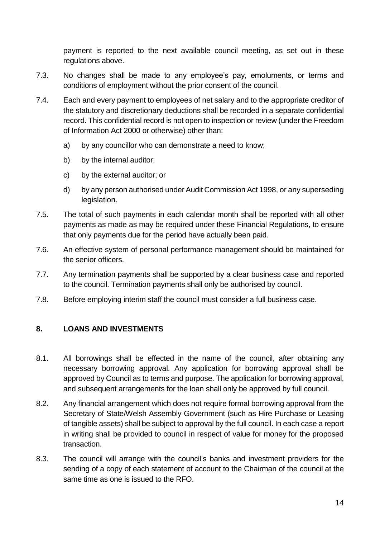payment is reported to the next available council meeting, as set out in these regulations above.

- 7.3. No changes shall be made to any employee's pay, emoluments, or terms and conditions of employment without the prior consent of the council.
- 7.4. Each and every payment to employees of net salary and to the appropriate creditor of the statutory and discretionary deductions shall be recorded in a separate confidential record. This confidential record is not open to inspection or review (under the Freedom of Information Act 2000 or otherwise) other than:
	- a) by any councillor who can demonstrate a need to know;
	- b) by the internal auditor;
	- c) by the external auditor; or
	- d) by any person authorised under Audit Commission Act 1998, or any superseding legislation.
- 7.5. The total of such payments in each calendar month shall be reported with all other payments as made as may be required under these Financial Regulations, to ensure that only payments due for the period have actually been paid.
- 7.6. An effective system of personal performance management should be maintained for the senior officers.
- 7.7. Any termination payments shall be supported by a clear business case and reported to the council. Termination payments shall only be authorised by council.
- 7.8. Before employing interim staff the council must consider a full business case.

#### <span id="page-13-0"></span>**8. LOANS AND INVESTMENTS**

- 8.1. All borrowings shall be effected in the name of the council, after obtaining any necessary borrowing approval. Any application for borrowing approval shall be approved by Council as to terms and purpose. The application for borrowing approval, and subsequent arrangements for the loan shall only be approved by full council.
- 8.2. Any financial arrangement which does not require formal borrowing approval from the Secretary of State/Welsh Assembly Government (such as Hire Purchase or Leasing of tangible assets) shall be subject to approval by the full council. In each case a report in writing shall be provided to council in respect of value for money for the proposed transaction.
- 8.3. The council will arrange with the council's banks and investment providers for the sending of a copy of each statement of account to the Chairman of the council at the same time as one is issued to the RFO.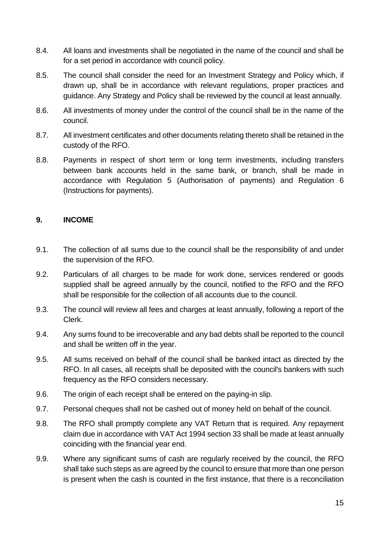- 8.4. All loans and investments shall be negotiated in the name of the council and shall be for a set period in accordance with council policy.
- 8.5. The council shall consider the need for an Investment Strategy and Policy which, if drawn up, shall be in accordance with relevant regulations, proper practices and guidance. Any Strategy and Policy shall be reviewed by the council at least annually.
- 8.6. All investments of money under the control of the council shall be in the name of the council.
- 8.7. All investment certificates and other documents relating thereto shall be retained in the custody of the RFO.
- 8.8. Payments in respect of short term or long term investments, including transfers between bank accounts held in the same bank, or branch, shall be made in accordance with Regulation 5 (Authorisation of payments) and Regulation 6 (Instructions for payments).

#### <span id="page-14-0"></span>**9. INCOME**

- 9.1. The collection of all sums due to the council shall be the responsibility of and under the supervision of the RFO.
- 9.2. Particulars of all charges to be made for work done, services rendered or goods supplied shall be agreed annually by the council, notified to the RFO and the RFO shall be responsible for the collection of all accounts due to the council.
- 9.3. The council will review all fees and charges at least annually, following a report of the Clerk.
- 9.4. Any sums found to be irrecoverable and any bad debts shall be reported to the council and shall be written off in the year.
- 9.5. All sums received on behalf of the council shall be banked intact as directed by the RFO. In all cases, all receipts shall be deposited with the council's bankers with such frequency as the RFO considers necessary.
- 9.6. The origin of each receipt shall be entered on the paying-in slip.
- 9.7. Personal cheques shall not be cashed out of money held on behalf of the council.
- 9.8. The RFO shall promptly complete any VAT Return that is required. Any repayment claim due in accordance with VAT Act 1994 section 33 shall be made at least annually coinciding with the financial year end.
- 9.9. Where any significant sums of cash are regularly received by the council, the RFO shall take such steps as are agreed by the council to ensure that more than one person is present when the cash is counted in the first instance, that there is a reconciliation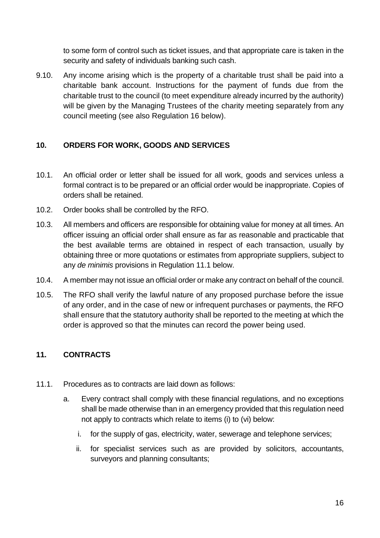to some form of control such as ticket issues, and that appropriate care is taken in the security and safety of individuals banking such cash.

9.10. Any income arising which is the property of a charitable trust shall be paid into a charitable bank account. Instructions for the payment of funds due from the charitable trust to the council (to meet expenditure already incurred by the authority) will be given by the Managing Trustees of the charity meeting separately from any council meeting (see also Regulation 16 below).

#### <span id="page-15-0"></span>**10. ORDERS FOR WORK, GOODS AND SERVICES**

- 10.1. An official order or letter shall be issued for all work, goods and services unless a formal contract is to be prepared or an official order would be inappropriate. Copies of orders shall be retained.
- 10.2. Order books shall be controlled by the RFO.
- 10.3. All members and officers are responsible for obtaining value for money at all times. An officer issuing an official order shall ensure as far as reasonable and practicable that the best available terms are obtained in respect of each transaction, usually by obtaining three or more quotations or estimates from appropriate suppliers, subject to any *de minimis* provisions in Regulation 11.1 below.
- 10.4. A member may not issue an official order or make any contract on behalf of the council.
- 10.5. The RFO shall verify the lawful nature of any proposed purchase before the issue of any order, and in the case of new or infrequent purchases or payments, the RFO shall ensure that the statutory authority shall be reported to the meeting at which the order is approved so that the minutes can record the power being used.

#### <span id="page-15-1"></span>**11. CONTRACTS**

- 11.1. Procedures as to contracts are laid down as follows:
	- a. Every contract shall comply with these financial regulations, and no exceptions shall be made otherwise than in an emergency provided that this regulation need not apply to contracts which relate to items (i) to (vi) below:
		- i. for the supply of gas, electricity, water, sewerage and telephone services;
		- ii. for specialist services such as are provided by solicitors, accountants, surveyors and planning consultants;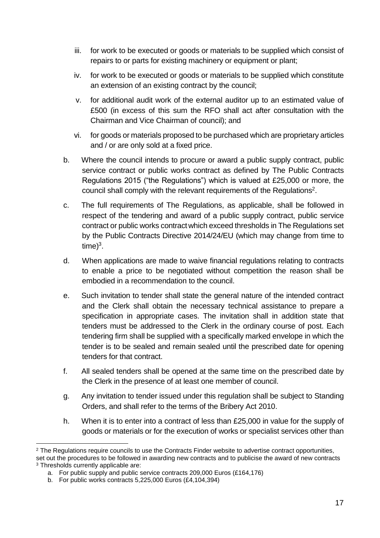- iii. for work to be executed or goods or materials to be supplied which consist of repairs to or parts for existing machinery or equipment or plant;
- iv. for work to be executed or goods or materials to be supplied which constitute an extension of an existing contract by the council;
- v. for additional audit work of the external auditor up to an estimated value of £500 (in excess of this sum the RFO shall act after consultation with the Chairman and Vice Chairman of council); and
- vi. for goods or materials proposed to be purchased which are proprietary articles and / or are only sold at a fixed price.
- b. Where the council intends to procure or award a public supply contract, public service contract or public works contract as defined by The Public Contracts Regulations 2015 ("the Regulations") which is valued at £25,000 or more, the council shall comply with the relevant requirements of the Regulations<sup>2</sup>.
- c. The full requirements of The Regulations, as applicable, shall be followed in respect of the tendering and award of a public supply contract, public service contract or public works contractwhich exceed thresholds in The Regulations set by the Public Contracts Directive 2014/24/EU (which may change from time to  $time)^3$ .
- d. When applications are made to waive financial regulations relating to contracts to enable a price to be negotiated without competition the reason shall be embodied in a recommendation to the council.
- e. Such invitation to tender shall state the general nature of the intended contract and the Clerk shall obtain the necessary technical assistance to prepare a specification in appropriate cases. The invitation shall in addition state that tenders must be addressed to the Clerk in the ordinary course of post. Each tendering firm shall be supplied with a specifically marked envelope in which the tender is to be sealed and remain sealed until the prescribed date for opening tenders for that contract.
- f. All sealed tenders shall be opened at the same time on the prescribed date by the Clerk in the presence of at least one member of council.
- g. Any invitation to tender issued under this regulation shall be subject to Standing Orders, and shall refer to the terms of the Bribery Act 2010.
- h. When it is to enter into a contract of less than £25,000 in value for the supply of goods or materials or for the execution of works or specialist services other than

1

<sup>&</sup>lt;sup>2</sup> The Regulations require councils to use the Contracts Finder website to advertise contract opportunities, set out the procedures to be followed in awarding new contracts and to publicise the award of new contracts

<sup>&</sup>lt;sup>3</sup> Thresholds currently applicable are: a. For public supply and public service contracts 209,000 Euros (£164,176)

b. For public works contracts 5,225,000 Euros (£4,104,394)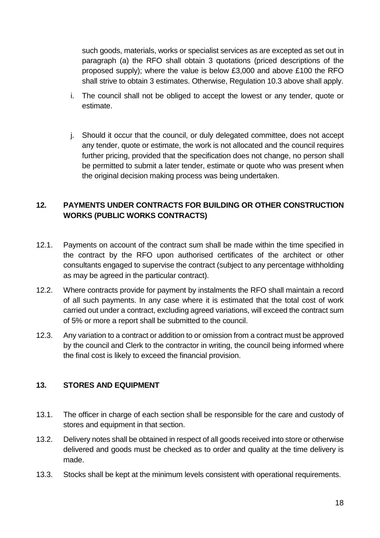such goods, materials, works or specialist services as are excepted as set out in paragraph (a) the RFO shall obtain 3 quotations (priced descriptions of the proposed supply); where the value is below £3,000 and above £100 the RFO shall strive to obtain 3 estimates. Otherwise, Regulation 10.3 above shall apply.

- i. The council shall not be obliged to accept the lowest or any tender, quote or estimate.
- j. Should it occur that the council, or duly delegated committee, does not accept any tender, quote or estimate, the work is not allocated and the council requires further pricing, provided that the specification does not change, no person shall be permitted to submit a later tender, estimate or quote who was present when the original decision making process was being undertaken.

#### <span id="page-17-0"></span>**12. PAYMENTS UNDER CONTRACTS FOR BUILDING OR OTHER CONSTRUCTION WORKS (PUBLIC WORKS CONTRACTS)**

- 12.1. Payments on account of the contract sum shall be made within the time specified in the contract by the RFO upon authorised certificates of the architect or other consultants engaged to supervise the contract (subject to any percentage withholding as may be agreed in the particular contract).
- 12.2. Where contracts provide for payment by instalments the RFO shall maintain a record of all such payments. In any case where it is estimated that the total cost of work carried out under a contract, excluding agreed variations, will exceed the contract sum of 5% or more a report shall be submitted to the council.
- 12.3. Any variation to a contract or addition to or omission from a contract must be approved by the council and Clerk to the contractor in writing, the council being informed where the final cost is likely to exceed the financial provision.

#### <span id="page-17-1"></span>**13. STORES AND EQUIPMENT**

- 13.1. The officer in charge of each section shall be responsible for the care and custody of stores and equipment in that section.
- 13.2. Delivery notes shall be obtained in respect of all goods received into store or otherwise delivered and goods must be checked as to order and quality at the time delivery is made.
- 13.3. Stocks shall be kept at the minimum levels consistent with operational requirements.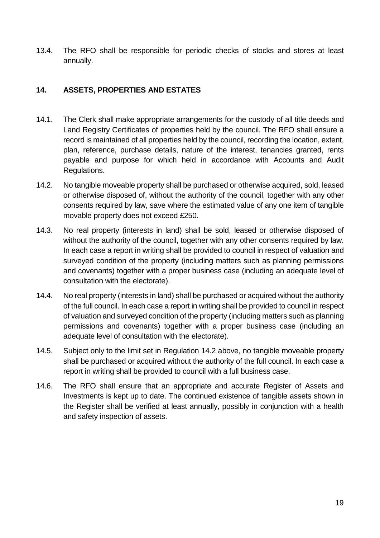13.4. The RFO shall be responsible for periodic checks of stocks and stores at least annually.

#### <span id="page-18-0"></span>**14. ASSETS, PROPERTIES AND ESTATES**

- 14.1. The Clerk shall make appropriate arrangements for the custody of all title deeds and Land Registry Certificates of properties held by the council. The RFO shall ensure a record is maintained of all properties held by the council, recording the location, extent, plan, reference, purchase details, nature of the interest, tenancies granted, rents payable and purpose for which held in accordance with Accounts and Audit Regulations.
- 14.2. No tangible moveable property shall be purchased or otherwise acquired, sold, leased or otherwise disposed of, without the authority of the council, together with any other consents required by law, save where the estimated value of any one item of tangible movable property does not exceed £250.
- 14.3. No real property (interests in land) shall be sold, leased or otherwise disposed of without the authority of the council, together with any other consents required by law. In each case a report in writing shall be provided to council in respect of valuation and surveyed condition of the property (including matters such as planning permissions and covenants) together with a proper business case (including an adequate level of consultation with the electorate).
- 14.4. No real property (interests in land) shall be purchased or acquired without the authority of the full council. In each case a report in writing shall be provided to council in respect of valuation and surveyed condition of the property (including matters such as planning permissions and covenants) together with a proper business case (including an adequate level of consultation with the electorate).
- 14.5. Subject only to the limit set in Regulation 14.2 above, no tangible moveable property shall be purchased or acquired without the authority of the full council. In each case a report in writing shall be provided to council with a full business case.
- 14.6. The RFO shall ensure that an appropriate and accurate Register of Assets and Investments is kept up to date. The continued existence of tangible assets shown in the Register shall be verified at least annually, possibly in conjunction with a health and safety inspection of assets.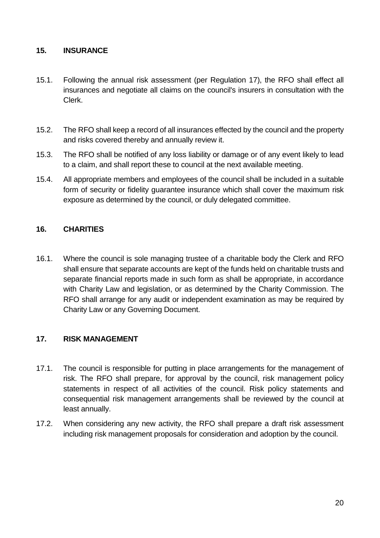#### <span id="page-19-0"></span>**15. INSURANCE**

- 15.1. Following the annual risk assessment (per Regulation 17), the RFO shall effect all insurances and negotiate all claims on the council's insurers in consultation with the Clerk.
- 15.2. The RFO shall keep a record of all insurances effected by the council and the property and risks covered thereby and annually review it.
- 15.3. The RFO shall be notified of any loss liability or damage or of any event likely to lead to a claim, and shall report these to council at the next available meeting.
- 15.4. All appropriate members and employees of the council shall be included in a suitable form of security or fidelity guarantee insurance which shall cover the maximum risk exposure as determined by the council, or duly delegated committee.

#### <span id="page-19-1"></span>**16. CHARITIES**

16.1. Where the council is sole managing trustee of a charitable body the Clerk and RFO shall ensure that separate accounts are kept of the funds held on charitable trusts and separate financial reports made in such form as shall be appropriate, in accordance with Charity Law and legislation, or as determined by the Charity Commission. The RFO shall arrange for any audit or independent examination as may be required by Charity Law or any Governing Document.

#### <span id="page-19-2"></span>**17. RISK MANAGEMENT**

- 17.1. The council is responsible for putting in place arrangements for the management of risk. The RFO shall prepare, for approval by the council, risk management policy statements in respect of all activities of the council. Risk policy statements and consequential risk management arrangements shall be reviewed by the council at least annually.
- 17.2. When considering any new activity, the RFO shall prepare a draft risk assessment including risk management proposals for consideration and adoption by the council.